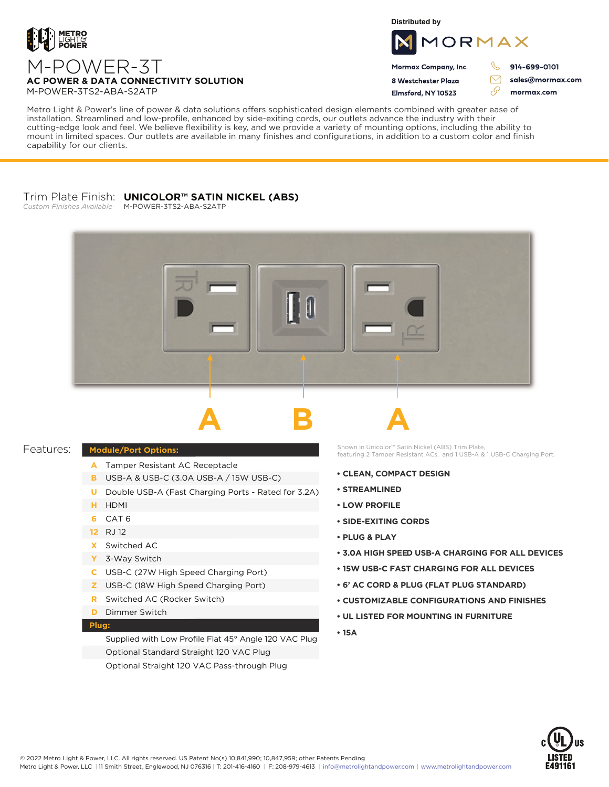

**Distributed by**



Mormax Company, Inc. 8 Westchester Plaza

Flmsford, NY 10523

914-699-0101

sales@mormax.com mormax.com

 $\triangledown$ 

M-POWER-3T **AC POWER & DATA CONNECTIVITY SOLUTION** M-POWER-3TS2-ABA-S2ATP

Metro Light & Power's line of power & data solutions offers sophisticated design elements combined with greater ease of installation. Streamlined and low-profile, enhanced by side-exiting cords, our outlets advance the industry with their cutting-edge look and feel. We believe flexibility is key, and we provide a variety of mounting options, including the ability to mount in limited spaces. Our outlets are available in many finishes and configurations, in addition to a custom color and finish capability for our clients.

# Trim Plate Finish: **UNICOLOR™ SATIN NICKEL (ABS)**

*Custom Finishes Available* M-POWER-3TS2-ABA-S2ATP



### Features:

- A Tamper Resistant AC Receptacle
- USB-A & USB-C (3.0A USB-A / 15W USB-C) **B**
- U Double USB-A (Fast Charging Ports Rated for 3.2A)
- HDMI **H**
- CAT 6 **6**
- RJ 12 **12**
- Switched AC **X**
- 3-Way Switch **Y**
- USB-C (27W High Speed Charging Port) **C**
- USB-C (18W High Speed Charging Port) **Z**
- Switched AC (Rocker Switch) **R**
- **D** Dimmer Switch

## **Plug:**

Supplied with Low Profile Flat 45° Angle 120 VAC Plug Optional Standard Straight 120 VAC Plug Optional Straight 120 VAC Pass-through Plug

**Module/Port Options: Module/Port Options: featuring 2 Tamper Resistant ACs, and 1 USB-A & 1 USB-C Charging Port.** 

- **CLEAN, COMPACT DESIGN**
- **STREAMLINED**
- **LOW PROFILE**
- **SIDE-EXITING CORDS**
- **PLUG & PLAY**
- **3.0A HIGH SPEED USB-A CHARGING FOR ALL DEVICES**
- **15W USB-C FAST CHARGING FOR ALL DEVICES**
- **6' AC CORD & PLUG (FLAT PLUG STANDARD)**
- **CUSTOMIZABLE CONFIGURATIONS AND FINISHES**
- **UL LISTED FOR MOUNTING IN FURNITURE**
- **15A**